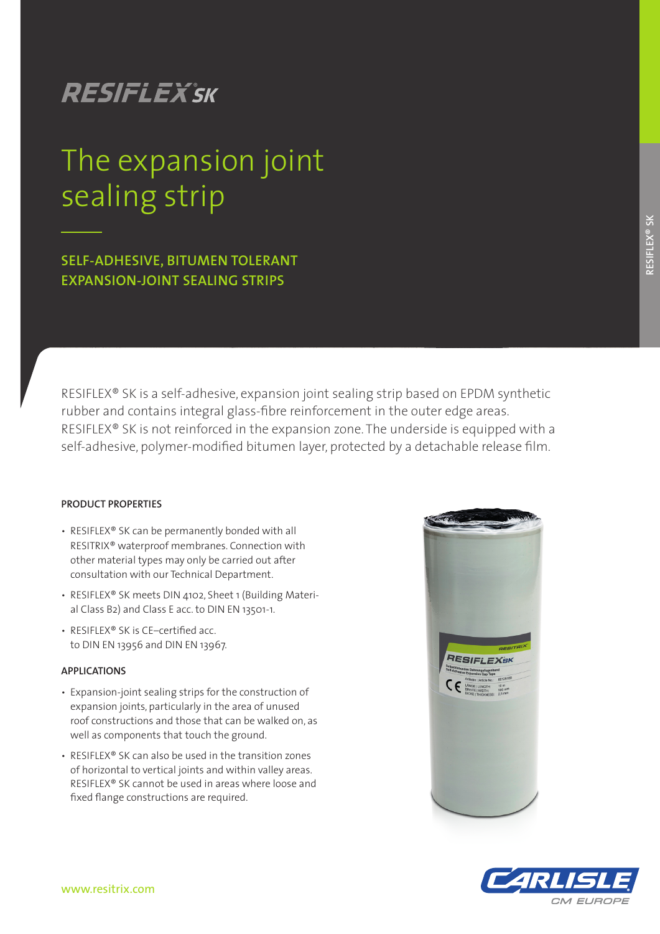## **RESIFLEX**'SK

# sealing strip in the sealing The expansion joint

**SELF-ADHESIVE, BITUMEN TOLERANT EXPANSION-JOINT SEALING STRIPS**

RESIFLEX® SK is a self-adhesive, expansion joint sealing strip based on EPDM synthetic rubber and contains integral glass-fibre reinforcement in the outer edge areas. RESIFLEX® SK is not reinforced in the expansion zone. The underside is equipped with a self-adhesive, polymer-modified bitumen layer, protected by a detachable release film.

### **PRODUCT PROPERTIES**

- RESIFLEX® SK can be permanently bonded with all RESITRIX® waterproof membranes. Connection with other material types may only be carried out after consultation with our Technical Department.
- RESIFLEX® SK meets DIN 4102, Sheet 1 (Building Material Class B2) and Class E acc. to DIN EN 13501-1.
- RESIFLEX® SK is CE–certified acc. to DIN EN 13956 and DIN EN 13967.

### **APPLICATIONS**

- Expansion-joint sealing strips for the construction of expansion joints, particularly in the area of unused roof constructions and those that can be walked on, as well as components that touch the ground.
- RESIFLEX® SK can also be used in the transition zones of horizontal to vertical joints and within valley areas. RESIFLEX® SK cannot be used in areas where loose and fixed flange constructions are required.